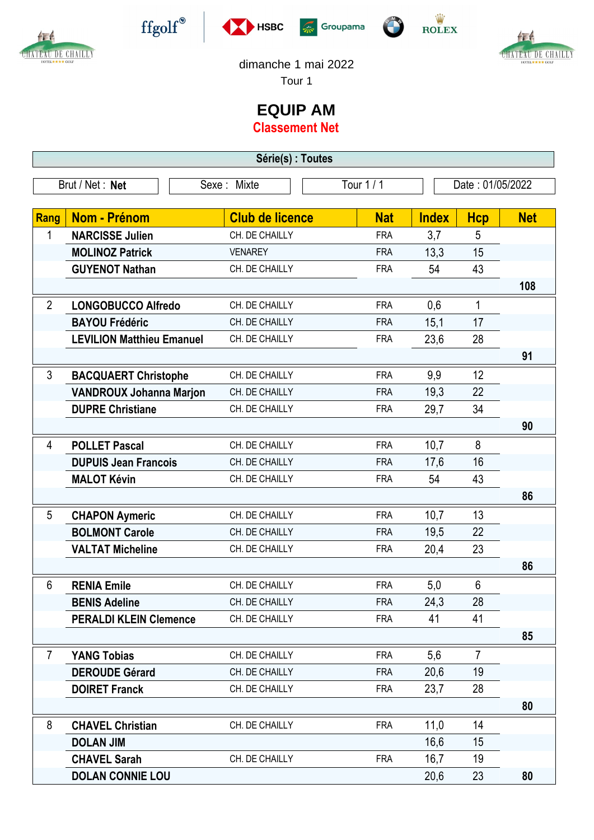

作

CHATEAU DE CHAILLY









dimanche 1 mai 2022

Tour 1

## **EQUIP AM**

**Classement Net**

| Tour 1 / 1<br>Brut / Net: Net<br>Sexe: Mixte<br>Date: 01/05/2022<br>Rang<br>Nom - Prénom<br><b>Club de licence</b><br><b>Nat</b><br><b>Net</b><br><b>Index</b><br><b>Hcp</b><br><b>NARCISSE Julien</b><br>3,7<br>5<br>1<br>CH. DE CHAILLY<br><b>FRA</b><br>13,3<br>15<br><b>MOLINOZ Patrick</b><br><b>VENAREY</b><br><b>FRA</b><br>43<br><b>GUYENOT Nathan</b><br>CH. DE CHAILLY<br>54<br><b>FRA</b><br>108<br>$\overline{2}$<br>0,6<br>$\mathbf{1}$<br><b>LONGOBUCCO Alfredo</b><br>CH. DE CHAILLY<br><b>FRA</b><br>17<br><b>BAYOU Frédéric</b><br>CH. DE CHAILLY<br><b>FRA</b><br>15,1<br>23,6<br>28<br><b>LEVILION Matthieu Emanuel</b><br>CH. DE CHAILLY<br><b>FRA</b><br>91<br>$\mathfrak{S}$<br>12<br>9,9<br><b>BACQUAERT Christophe</b><br>CH. DE CHAILLY<br><b>FRA</b><br>22<br>19,3<br><b>VANDROUX Johanna Marjon</b><br>CH. DE CHAILLY<br><b>FRA</b><br><b>DUPRE Christiane</b><br>34<br>CH. DE CHAILLY<br>29,7<br><b>FRA</b><br>90<br><b>POLLET Pascal</b><br>8<br>$\overline{4}$<br>CH. DE CHAILLY<br>10,7<br><b>FRA</b><br>16<br><b>DUPUIS Jean Francois</b><br>17,6<br>CH. DE CHAILLY<br><b>FRA</b><br>43<br><b>MALOT Kévin</b><br>54<br>CH. DE CHAILLY<br><b>FRA</b><br>86<br>13<br>10,7<br>5<br><b>CHAPON Aymeric</b><br>CH. DE CHAILLY<br><b>FRA</b><br>22<br><b>BOLMONT Carole</b><br>CH. DE CHAILLY<br>19,5<br><b>FRA</b><br>23<br><b>VALTAT Micheline</b><br>20,4<br>CH. DE CHAILLY<br><b>FRA</b><br>86<br>6<br>6<br><b>RENIA Emile</b><br>CH. DE CHAILLY<br>5,0<br><b>FRA</b><br>28<br>24,3<br><b>FRA</b><br><b>BENIS Adeline</b><br>CH. DE CHAILLY<br><b>PERALDI KLEIN Clemence</b><br>41<br>41<br>CH. DE CHAILLY<br><b>FRA</b><br>85<br>$\overline{7}$<br><b>YANG Tobias</b><br>$\overline{7}$<br>CH. DE CHAILLY<br>5,6<br><b>FRA</b><br>20,6<br><b>DEROUDE Gérard</b><br>19<br>CH. DE CHAILLY<br><b>FRA</b><br><b>DOIRET Franck</b><br>23,7<br>28<br>CH. DE CHAILLY<br><b>FRA</b><br>80<br>8<br><b>CHAVEL Christian</b><br>11,0<br>14<br>CH. DE CHAILLY<br><b>FRA</b><br><b>DOLAN JIM</b><br>16,6<br>15<br>16,7<br><b>CHAVEL Sarah</b><br>19<br>CH. DE CHAILLY<br><b>FRA</b><br>23<br><b>DOLAN CONNIE LOU</b><br>20,6<br>80 | Série(s) : Toutes |  |  |  |  |  |  |  |  |  |  |
|-----------------------------------------------------------------------------------------------------------------------------------------------------------------------------------------------------------------------------------------------------------------------------------------------------------------------------------------------------------------------------------------------------------------------------------------------------------------------------------------------------------------------------------------------------------------------------------------------------------------------------------------------------------------------------------------------------------------------------------------------------------------------------------------------------------------------------------------------------------------------------------------------------------------------------------------------------------------------------------------------------------------------------------------------------------------------------------------------------------------------------------------------------------------------------------------------------------------------------------------------------------------------------------------------------------------------------------------------------------------------------------------------------------------------------------------------------------------------------------------------------------------------------------------------------------------------------------------------------------------------------------------------------------------------------------------------------------------------------------------------------------------------------------------------------------------------------------------------------------------------------------------------------------------------------------------------------------------------------------------------------------------------------------------------------------------------------------------------------------------------------------------------------|-------------------|--|--|--|--|--|--|--|--|--|--|
|                                                                                                                                                                                                                                                                                                                                                                                                                                                                                                                                                                                                                                                                                                                                                                                                                                                                                                                                                                                                                                                                                                                                                                                                                                                                                                                                                                                                                                                                                                                                                                                                                                                                                                                                                                                                                                                                                                                                                                                                                                                                                                                                                     |                   |  |  |  |  |  |  |  |  |  |  |
|                                                                                                                                                                                                                                                                                                                                                                                                                                                                                                                                                                                                                                                                                                                                                                                                                                                                                                                                                                                                                                                                                                                                                                                                                                                                                                                                                                                                                                                                                                                                                                                                                                                                                                                                                                                                                                                                                                                                                                                                                                                                                                                                                     |                   |  |  |  |  |  |  |  |  |  |  |
|                                                                                                                                                                                                                                                                                                                                                                                                                                                                                                                                                                                                                                                                                                                                                                                                                                                                                                                                                                                                                                                                                                                                                                                                                                                                                                                                                                                                                                                                                                                                                                                                                                                                                                                                                                                                                                                                                                                                                                                                                                                                                                                                                     |                   |  |  |  |  |  |  |  |  |  |  |
|                                                                                                                                                                                                                                                                                                                                                                                                                                                                                                                                                                                                                                                                                                                                                                                                                                                                                                                                                                                                                                                                                                                                                                                                                                                                                                                                                                                                                                                                                                                                                                                                                                                                                                                                                                                                                                                                                                                                                                                                                                                                                                                                                     |                   |  |  |  |  |  |  |  |  |  |  |
|                                                                                                                                                                                                                                                                                                                                                                                                                                                                                                                                                                                                                                                                                                                                                                                                                                                                                                                                                                                                                                                                                                                                                                                                                                                                                                                                                                                                                                                                                                                                                                                                                                                                                                                                                                                                                                                                                                                                                                                                                                                                                                                                                     |                   |  |  |  |  |  |  |  |  |  |  |
|                                                                                                                                                                                                                                                                                                                                                                                                                                                                                                                                                                                                                                                                                                                                                                                                                                                                                                                                                                                                                                                                                                                                                                                                                                                                                                                                                                                                                                                                                                                                                                                                                                                                                                                                                                                                                                                                                                                                                                                                                                                                                                                                                     |                   |  |  |  |  |  |  |  |  |  |  |
|                                                                                                                                                                                                                                                                                                                                                                                                                                                                                                                                                                                                                                                                                                                                                                                                                                                                                                                                                                                                                                                                                                                                                                                                                                                                                                                                                                                                                                                                                                                                                                                                                                                                                                                                                                                                                                                                                                                                                                                                                                                                                                                                                     |                   |  |  |  |  |  |  |  |  |  |  |
|                                                                                                                                                                                                                                                                                                                                                                                                                                                                                                                                                                                                                                                                                                                                                                                                                                                                                                                                                                                                                                                                                                                                                                                                                                                                                                                                                                                                                                                                                                                                                                                                                                                                                                                                                                                                                                                                                                                                                                                                                                                                                                                                                     |                   |  |  |  |  |  |  |  |  |  |  |
|                                                                                                                                                                                                                                                                                                                                                                                                                                                                                                                                                                                                                                                                                                                                                                                                                                                                                                                                                                                                                                                                                                                                                                                                                                                                                                                                                                                                                                                                                                                                                                                                                                                                                                                                                                                                                                                                                                                                                                                                                                                                                                                                                     |                   |  |  |  |  |  |  |  |  |  |  |
|                                                                                                                                                                                                                                                                                                                                                                                                                                                                                                                                                                                                                                                                                                                                                                                                                                                                                                                                                                                                                                                                                                                                                                                                                                                                                                                                                                                                                                                                                                                                                                                                                                                                                                                                                                                                                                                                                                                                                                                                                                                                                                                                                     |                   |  |  |  |  |  |  |  |  |  |  |
|                                                                                                                                                                                                                                                                                                                                                                                                                                                                                                                                                                                                                                                                                                                                                                                                                                                                                                                                                                                                                                                                                                                                                                                                                                                                                                                                                                                                                                                                                                                                                                                                                                                                                                                                                                                                                                                                                                                                                                                                                                                                                                                                                     |                   |  |  |  |  |  |  |  |  |  |  |
|                                                                                                                                                                                                                                                                                                                                                                                                                                                                                                                                                                                                                                                                                                                                                                                                                                                                                                                                                                                                                                                                                                                                                                                                                                                                                                                                                                                                                                                                                                                                                                                                                                                                                                                                                                                                                                                                                                                                                                                                                                                                                                                                                     |                   |  |  |  |  |  |  |  |  |  |  |
|                                                                                                                                                                                                                                                                                                                                                                                                                                                                                                                                                                                                                                                                                                                                                                                                                                                                                                                                                                                                                                                                                                                                                                                                                                                                                                                                                                                                                                                                                                                                                                                                                                                                                                                                                                                                                                                                                                                                                                                                                                                                                                                                                     |                   |  |  |  |  |  |  |  |  |  |  |
|                                                                                                                                                                                                                                                                                                                                                                                                                                                                                                                                                                                                                                                                                                                                                                                                                                                                                                                                                                                                                                                                                                                                                                                                                                                                                                                                                                                                                                                                                                                                                                                                                                                                                                                                                                                                                                                                                                                                                                                                                                                                                                                                                     |                   |  |  |  |  |  |  |  |  |  |  |
|                                                                                                                                                                                                                                                                                                                                                                                                                                                                                                                                                                                                                                                                                                                                                                                                                                                                                                                                                                                                                                                                                                                                                                                                                                                                                                                                                                                                                                                                                                                                                                                                                                                                                                                                                                                                                                                                                                                                                                                                                                                                                                                                                     |                   |  |  |  |  |  |  |  |  |  |  |
|                                                                                                                                                                                                                                                                                                                                                                                                                                                                                                                                                                                                                                                                                                                                                                                                                                                                                                                                                                                                                                                                                                                                                                                                                                                                                                                                                                                                                                                                                                                                                                                                                                                                                                                                                                                                                                                                                                                                                                                                                                                                                                                                                     |                   |  |  |  |  |  |  |  |  |  |  |
|                                                                                                                                                                                                                                                                                                                                                                                                                                                                                                                                                                                                                                                                                                                                                                                                                                                                                                                                                                                                                                                                                                                                                                                                                                                                                                                                                                                                                                                                                                                                                                                                                                                                                                                                                                                                                                                                                                                                                                                                                                                                                                                                                     |                   |  |  |  |  |  |  |  |  |  |  |
|                                                                                                                                                                                                                                                                                                                                                                                                                                                                                                                                                                                                                                                                                                                                                                                                                                                                                                                                                                                                                                                                                                                                                                                                                                                                                                                                                                                                                                                                                                                                                                                                                                                                                                                                                                                                                                                                                                                                                                                                                                                                                                                                                     |                   |  |  |  |  |  |  |  |  |  |  |
|                                                                                                                                                                                                                                                                                                                                                                                                                                                                                                                                                                                                                                                                                                                                                                                                                                                                                                                                                                                                                                                                                                                                                                                                                                                                                                                                                                                                                                                                                                                                                                                                                                                                                                                                                                                                                                                                                                                                                                                                                                                                                                                                                     |                   |  |  |  |  |  |  |  |  |  |  |
|                                                                                                                                                                                                                                                                                                                                                                                                                                                                                                                                                                                                                                                                                                                                                                                                                                                                                                                                                                                                                                                                                                                                                                                                                                                                                                                                                                                                                                                                                                                                                                                                                                                                                                                                                                                                                                                                                                                                                                                                                                                                                                                                                     |                   |  |  |  |  |  |  |  |  |  |  |
|                                                                                                                                                                                                                                                                                                                                                                                                                                                                                                                                                                                                                                                                                                                                                                                                                                                                                                                                                                                                                                                                                                                                                                                                                                                                                                                                                                                                                                                                                                                                                                                                                                                                                                                                                                                                                                                                                                                                                                                                                                                                                                                                                     |                   |  |  |  |  |  |  |  |  |  |  |
|                                                                                                                                                                                                                                                                                                                                                                                                                                                                                                                                                                                                                                                                                                                                                                                                                                                                                                                                                                                                                                                                                                                                                                                                                                                                                                                                                                                                                                                                                                                                                                                                                                                                                                                                                                                                                                                                                                                                                                                                                                                                                                                                                     |                   |  |  |  |  |  |  |  |  |  |  |
|                                                                                                                                                                                                                                                                                                                                                                                                                                                                                                                                                                                                                                                                                                                                                                                                                                                                                                                                                                                                                                                                                                                                                                                                                                                                                                                                                                                                                                                                                                                                                                                                                                                                                                                                                                                                                                                                                                                                                                                                                                                                                                                                                     |                   |  |  |  |  |  |  |  |  |  |  |
|                                                                                                                                                                                                                                                                                                                                                                                                                                                                                                                                                                                                                                                                                                                                                                                                                                                                                                                                                                                                                                                                                                                                                                                                                                                                                                                                                                                                                                                                                                                                                                                                                                                                                                                                                                                                                                                                                                                                                                                                                                                                                                                                                     |                   |  |  |  |  |  |  |  |  |  |  |
|                                                                                                                                                                                                                                                                                                                                                                                                                                                                                                                                                                                                                                                                                                                                                                                                                                                                                                                                                                                                                                                                                                                                                                                                                                                                                                                                                                                                                                                                                                                                                                                                                                                                                                                                                                                                                                                                                                                                                                                                                                                                                                                                                     |                   |  |  |  |  |  |  |  |  |  |  |
|                                                                                                                                                                                                                                                                                                                                                                                                                                                                                                                                                                                                                                                                                                                                                                                                                                                                                                                                                                                                                                                                                                                                                                                                                                                                                                                                                                                                                                                                                                                                                                                                                                                                                                                                                                                                                                                                                                                                                                                                                                                                                                                                                     |                   |  |  |  |  |  |  |  |  |  |  |
|                                                                                                                                                                                                                                                                                                                                                                                                                                                                                                                                                                                                                                                                                                                                                                                                                                                                                                                                                                                                                                                                                                                                                                                                                                                                                                                                                                                                                                                                                                                                                                                                                                                                                                                                                                                                                                                                                                                                                                                                                                                                                                                                                     |                   |  |  |  |  |  |  |  |  |  |  |
|                                                                                                                                                                                                                                                                                                                                                                                                                                                                                                                                                                                                                                                                                                                                                                                                                                                                                                                                                                                                                                                                                                                                                                                                                                                                                                                                                                                                                                                                                                                                                                                                                                                                                                                                                                                                                                                                                                                                                                                                                                                                                                                                                     |                   |  |  |  |  |  |  |  |  |  |  |
|                                                                                                                                                                                                                                                                                                                                                                                                                                                                                                                                                                                                                                                                                                                                                                                                                                                                                                                                                                                                                                                                                                                                                                                                                                                                                                                                                                                                                                                                                                                                                                                                                                                                                                                                                                                                                                                                                                                                                                                                                                                                                                                                                     |                   |  |  |  |  |  |  |  |  |  |  |
|                                                                                                                                                                                                                                                                                                                                                                                                                                                                                                                                                                                                                                                                                                                                                                                                                                                                                                                                                                                                                                                                                                                                                                                                                                                                                                                                                                                                                                                                                                                                                                                                                                                                                                                                                                                                                                                                                                                                                                                                                                                                                                                                                     |                   |  |  |  |  |  |  |  |  |  |  |
|                                                                                                                                                                                                                                                                                                                                                                                                                                                                                                                                                                                                                                                                                                                                                                                                                                                                                                                                                                                                                                                                                                                                                                                                                                                                                                                                                                                                                                                                                                                                                                                                                                                                                                                                                                                                                                                                                                                                                                                                                                                                                                                                                     |                   |  |  |  |  |  |  |  |  |  |  |
|                                                                                                                                                                                                                                                                                                                                                                                                                                                                                                                                                                                                                                                                                                                                                                                                                                                                                                                                                                                                                                                                                                                                                                                                                                                                                                                                                                                                                                                                                                                                                                                                                                                                                                                                                                                                                                                                                                                                                                                                                                                                                                                                                     |                   |  |  |  |  |  |  |  |  |  |  |
|                                                                                                                                                                                                                                                                                                                                                                                                                                                                                                                                                                                                                                                                                                                                                                                                                                                                                                                                                                                                                                                                                                                                                                                                                                                                                                                                                                                                                                                                                                                                                                                                                                                                                                                                                                                                                                                                                                                                                                                                                                                                                                                                                     |                   |  |  |  |  |  |  |  |  |  |  |
|                                                                                                                                                                                                                                                                                                                                                                                                                                                                                                                                                                                                                                                                                                                                                                                                                                                                                                                                                                                                                                                                                                                                                                                                                                                                                                                                                                                                                                                                                                                                                                                                                                                                                                                                                                                                                                                                                                                                                                                                                                                                                                                                                     |                   |  |  |  |  |  |  |  |  |  |  |
|                                                                                                                                                                                                                                                                                                                                                                                                                                                                                                                                                                                                                                                                                                                                                                                                                                                                                                                                                                                                                                                                                                                                                                                                                                                                                                                                                                                                                                                                                                                                                                                                                                                                                                                                                                                                                                                                                                                                                                                                                                                                                                                                                     |                   |  |  |  |  |  |  |  |  |  |  |